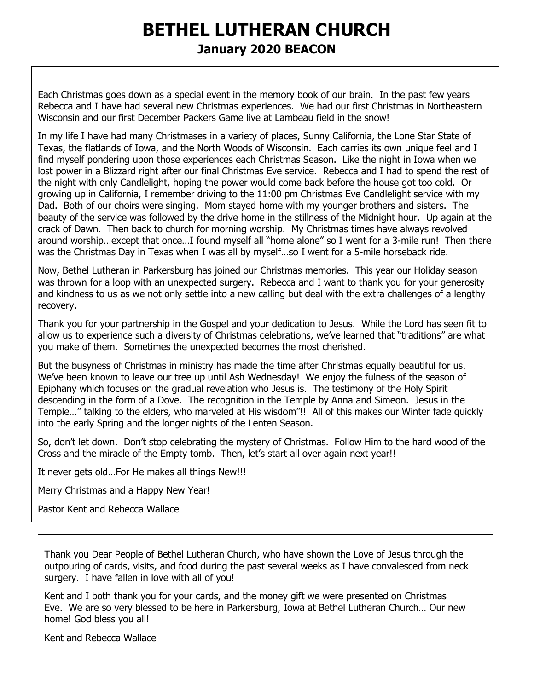# **BETHEL LUTHERAN CHURCH January 2020 BEACON**

Each Christmas goes down as a special event in the memory book of our brain. In the past few years Rebecca and I have had several new Christmas experiences. We had our first Christmas in Northeastern Wisconsin and our first December Packers Game live at Lambeau field in the snow!

In my life I have had many Christmases in a variety of places, Sunny California, the Lone Star State of Texas, the flatlands of Iowa, and the North Woods of Wisconsin. Each carries its own unique feel and I find myself pondering upon those experiences each Christmas Season. Like the night in Iowa when we lost power in a Blizzard right after our final Christmas Eve service. Rebecca and I had to spend the rest of the night with only Candlelight, hoping the power would come back before the house got too cold. Or growing up in California, I remember driving to the 11:00 pm Christmas Eve Candlelight service with my Dad. Both of our choirs were singing. Mom stayed home with my younger brothers and sisters. The beauty of the service was followed by the drive home in the stillness of the Midnight hour. Up again at the crack of Dawn. Then back to church for morning worship. My Christmas times have always revolved around worship…except that once…I found myself all "home alone" so I went for a 3-mile run! Then there was the Christmas Day in Texas when I was all by myself…so I went for a 5-mile horseback ride.

Now, Bethel Lutheran in Parkersburg has joined our Christmas memories. This year our Holiday season was thrown for a loop with an unexpected surgery. Rebecca and I want to thank you for your generosity and kindness to us as we not only settle into a new calling but deal with the extra challenges of a lengthy recovery.

Thank you for your partnership in the Gospel and your dedication to Jesus. While the Lord has seen fit to allow us to experience such a diversity of Christmas celebrations, we've learned that "traditions" are what you make of them. Sometimes the unexpected becomes the most cherished.

But the busyness of Christmas in ministry has made the time after Christmas equally beautiful for us. We've been known to leave our tree up until Ash Wednesday! We enjoy the fulness of the season of Epiphany which focuses on the gradual revelation who Jesus is. The testimony of the Holy Spirit descending in the form of a Dove. The recognition in the Temple by Anna and Simeon. Jesus in the Temple…" talking to the elders, who marveled at His wisdom"!! All of this makes our Winter fade quickly into the early Spring and the longer nights of the Lenten Season.

So, don't let down. Don't stop celebrating the mystery of Christmas. Follow Him to the hard wood of the Cross and the miracle of the Empty tomb. Then, let's start all over again next year!!

It never gets old…For He makes all things New!!!

Merry Christmas and a Happy New Year!

Pastor Kent and Rebecca Wallace

Thank you Dear People of Bethel Lutheran Church, who have shown the Love of Jesus through the outpouring of cards, visits, and food during the past several weeks as I have convalesced from neck surgery. I have fallen in love with all of you!

Kent and I both thank you for your cards, and the money gift we were presented on Christmas Eve. We are so very blessed to be here in Parkersburg, Iowa at Bethel Lutheran Church… Our new home! God bless you all!

Kent and Rebecca Wallace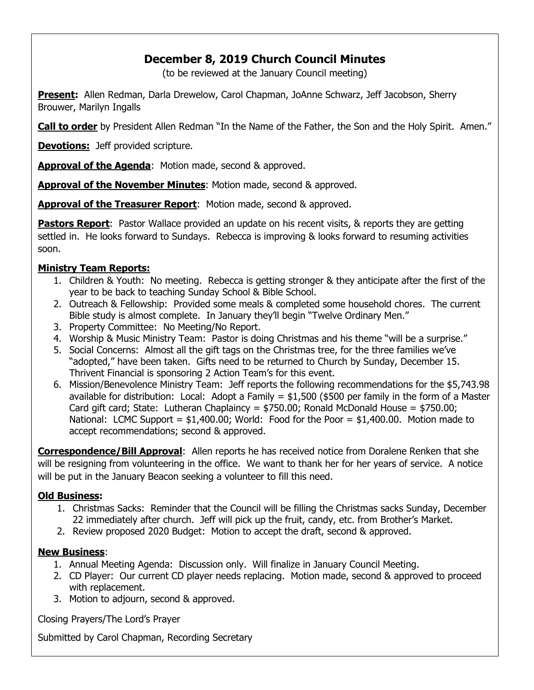# **December 8, 2019 Church Council Minutes**

(to be reviewed at the January Council meeting)

**Present:** Allen Redman, Darla Drewelow, Carol Chapman, JoAnne Schwarz, Jeff Jacobson, Sherry Brouwer, Marilyn Ingalls

**Call to order** by President Allen Redman "In the Name of the Father, the Son and the Holy Spirit. Amen."

**Devotions:** Jeff provided scripture.

**Approval of the Agenda**: Motion made, second & approved.

**Approval of the November Minutes**: Motion made, second & approved.

**Approval of the Treasurer Report**: Motion made, second & approved.

**Pastors Report**: Pastor Wallace provided an update on his recent visits, & reports they are getting settled in. He looks forward to Sundays. Rebecca is improving & looks forward to resuming activities soon.

#### **Ministry Team Reports:**

- 1. Children & Youth: No meeting. Rebecca is getting stronger & they anticipate after the first of the year to be back to teaching Sunday School & Bible School.
- 2. Outreach & Fellowship: Provided some meals & completed some household chores. The current Bible study is almost complete. In January they'll begin "Twelve Ordinary Men."
- 3. Property Committee: No Meeting/No Report.
- 4. Worship & Music Ministry Team: Pastor is doing Christmas and his theme "will be a surprise."
- 5. Social Concerns: Almost all the gift tags on the Christmas tree, for the three families we've "adopted," have been taken. Gifts need to be returned to Church by Sunday, December 15. Thrivent Financial is sponsoring 2 Action Team's for this event.
- 6. Mission/Benevolence Ministry Team: Jeff reports the following recommendations for the \$5,743.98 available for distribution: Local: Adopt a Family = \$1,500 (\$500 per family in the form of a Master Card gift card; State: Lutheran Chaplaincy = \$750.00; Ronald McDonald House = \$750.00; National: LCMC Support =  $$1,400.00$ ; World: Food for the Poor =  $$1,400.00$ . Motion made to accept recommendations; second & approved.

**Correspondence/Bill Approval**: Allen reports he has received notice from Doralene Renken that she will be resigning from volunteering in the office. We want to thank her for her years of service. A notice will be put in the January Beacon seeking a volunteer to fill this need.

#### **Old Business:**

- 1. Christmas Sacks: Reminder that the Council will be filling the Christmas sacks Sunday, December 22 immediately after church. Jeff will pick up the fruit, candy, etc. from Brother's Market.
- 2. Review proposed 2020 Budget: Motion to accept the draft, second & approved.

#### **New Business**:

- 1. Annual Meeting Agenda: Discussion only. Will finalize in January Council Meeting.
- 2. CD Player: Our current CD player needs replacing. Motion made, second & approved to proceed with replacement.
- 3. Motion to adjourn, second & approved.

Closing Prayers/The Lord's Prayer

Submitted by Carol Chapman, Recording Secretary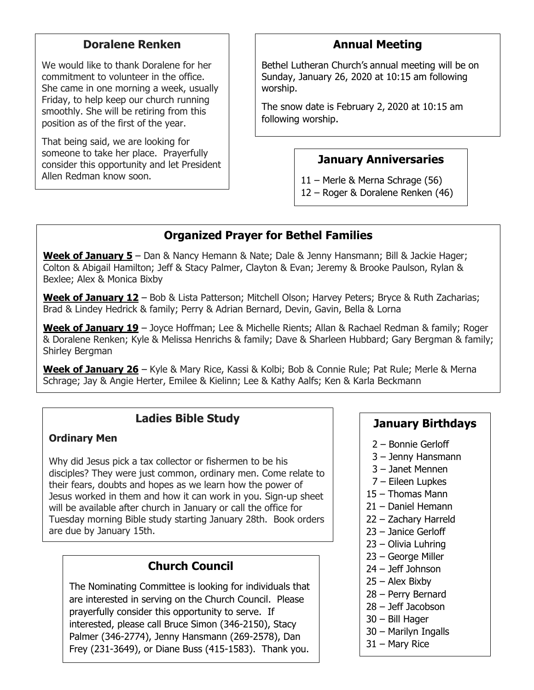### **Doralene Renken**

We would like to thank Doralene for her commitment to volunteer in the office. She came in one morning a week, usually Friday, to help keep our church running smoothly. She will be retiring from this position as of the first of the year.

That being said, we are looking for someone to take her place. Prayerfully consider this opportunity and let President Allen Redman know soon.

# **Annual Meeting**

Bethel Lutheran Church's annual meeting will be on Sunday, January 26, 2020 at 10:15 am following worship.

The snow date is February 2, 2020 at 10:15 am following worship.

### **January Anniversaries**

11 – Merle & Merna Schrage (56)

12 – Roger & Doralene Renken (46)

# **Organized Prayer for Bethel Families**

**Week of January 5** – Dan & Nancy Hemann & Nate; Dale & Jenny Hansmann; Bill & Jackie Hager; Colton & Abigail Hamilton; Jeff & Stacy Palmer, Clayton & Evan; Jeremy & Brooke Paulson, Rylan & Bexlee; Alex & Monica Bixby

**Week of January 12** – Bob & Lista Patterson; Mitchell Olson; Harvey Peters; Bryce & Ruth Zacharias; Brad & Lindey Hedrick & family; Perry & Adrian Bernard, Devin, Gavin, Bella & Lorna

**Week of January 19** – Joyce Hoffman; Lee & Michelle Rients; Allan & Rachael Redman & family; Roger & Doralene Renken; Kyle & Melissa Henrichs & family; Dave & Sharleen Hubbard; Gary Bergman & family; Shirley Bergman

**Week of January 26** – Kyle & Mary Rice, Kassi & Kolbi; Bob & Connie Rule; Pat Rule; Merle & Merna Schrage; Jay & Angie Herter, Emilee & Kielinn; Lee & Kathy Aalfs; Ken & Karla Beckmann

# **Ladies Bible Study**

### **Ordinary Men**

Why did Jesus pick a tax collector or fishermen to be his disciples? They were just common, ordinary men. Come relate to their fears, doubts and hopes as we learn how the power of Jesus worked in them and how it can work in you. Sign-up sheet will be available after church in January or call the office for Tuesday morning Bible study starting January 28th. Book orders are due by January 15th.

# **Church Council**

The Nominating Committee is looking for individuals that are interested in serving on the Church Council. Please prayerfully consider this opportunity to serve. If interested, please call Bruce Simon (346-2150), Stacy Palmer (346-2774), Jenny Hansmann (269-2578), Dan Frey (231-3649), or Diane Buss (415-1583). Thank you.

### **January Birthdays**

- 2 Bonnie Gerloff
- 3 Jenny Hansmann
- 3 Janet Mennen
- 7 Eileen Lupkes
- 15 Thomas Mann
- 21 Daniel Hemann
- 22 Zachary Harreld
- 23 Janice Gerloff
- 23 Olivia Luhring
- 23 George Miller
- 24 Jeff Johnson
- 25 Alex Bixby
- 28 Perry Bernard
- 28 Jeff Jacobson
- 30 Bill Hager
- 30 Marilyn Ingalls
- 31 Mary Rice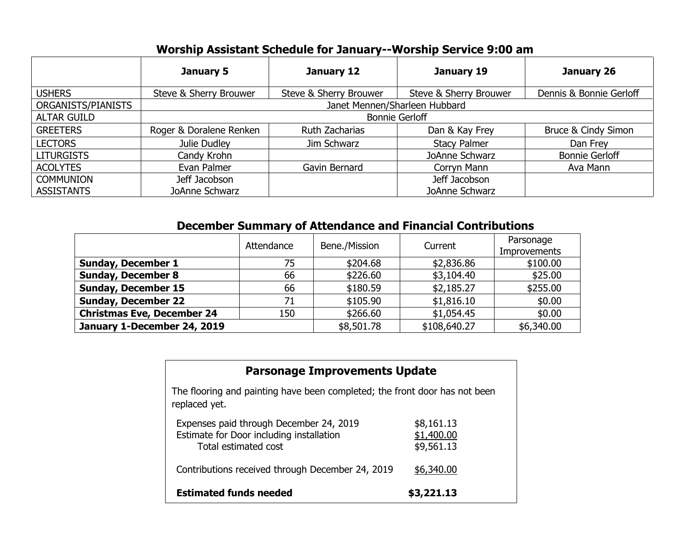### **Worship Assistant Schedule for January--Worship Service 9:00 am**

|                    | January 5                     | January 12             | January 19             | January 26              |  |
|--------------------|-------------------------------|------------------------|------------------------|-------------------------|--|
| <b>USHERS</b>      | Steve & Sherry Brouwer        | Steve & Sherry Brouwer | Steve & Sherry Brouwer | Dennis & Bonnie Gerloff |  |
| ORGANISTS/PIANISTS | Janet Mennen/Sharleen Hubbard |                        |                        |                         |  |
| <b>ALTAR GUILD</b> | <b>Bonnie Gerloff</b>         |                        |                        |                         |  |
| <b>GREETERS</b>    | Roger & Doralene Renken       | Ruth Zacharias         | Dan & Kay Frey         | Bruce & Cindy Simon     |  |
| <b>LECTORS</b>     | Julie Dudley                  | Jim Schwarz            | <b>Stacy Palmer</b>    | Dan Frey                |  |
| <b>LITURGISTS</b>  | Candy Krohn                   |                        | JoAnne Schwarz         | <b>Bonnie Gerloff</b>   |  |
| <b>ACOLYTES</b>    | Evan Palmer                   | Gavin Bernard          | Corryn Mann            | Ava Mann                |  |
| <b>COMMUNION</b>   | Jeff Jacobson                 |                        | Jeff Jacobson          |                         |  |
| <b>ASSISTANTS</b>  | JoAnne Schwarz                |                        | JoAnne Schwarz         |                         |  |

### **December Summary of Attendance and Financial Contributions**

|                                   | Attendance | Bene./Mission | Current      | Parsonage<br><b>Improvements</b> |  |
|-----------------------------------|------------|---------------|--------------|----------------------------------|--|
| <b>Sunday, December 1</b>         | 75         | \$204.68      | \$2,836.86   | \$100.00                         |  |
| <b>Sunday, December 8</b>         | 66         | \$226.60      | \$3,104.40   | \$25.00                          |  |
| <b>Sunday, December 15</b>        | 66         | \$180.59      | \$2,185.27   | \$255.00                         |  |
| <b>Sunday, December 22</b>        | 71         | \$105.90      | \$1,816.10   | \$0.00                           |  |
| <b>Christmas Eve, December 24</b> | 150        | \$266.60      | \$1,054.45   | \$0.00                           |  |
| January 1-December 24, 2019       |            | \$8,501.78    | \$108,640.27 | \$6,340.00                       |  |

# **Parsonage Improvements Update**

The flooring and painting have been completed; the front door has not been replaced yet.

| Expenses paid through December 24, 2019<br>Estimate for Door including installation<br>Total estimated cost | \$8,161.13<br>\$1,400.00<br>\$9,561.13 |
|-------------------------------------------------------------------------------------------------------------|----------------------------------------|
| Contributions received through December 24, 2019                                                            | \$6,340.00                             |
| <b>Estimated funds needed</b>                                                                               | \$3,221.13                             |